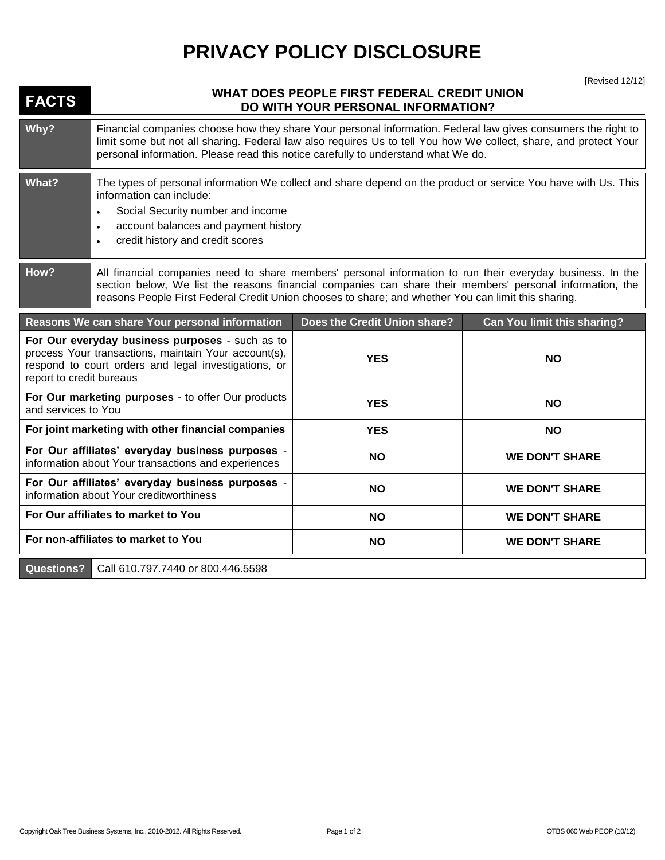## **PRIVACY POLICY DISCLOSURE**

**FACTS** WHAT DOES PEOPLE FIRST FEDERAL CREDIT UNION **DO WITH YOUR PERSONAL INFORMATION? Why?** Financial companies choose how they share Your personal information. Federal law gives consumers the right to limit some but not all sharing. Federal law also requires Us to tell You how We collect, share, and protect Your personal information. Please read this notice carefully to understand what We do. **What?** The types of personal information We collect and share depend on the product or service You have with Us. This information can include: Social Security number and income account balances and payment history credit history and credit scores **How?** All financial companies need to share members' personal information to run their everyday business. In the section below, We list the reasons financial companies can share their members' personal information, the reasons People First Federal Credit Union chooses to share; and whether You can limit this sharing. **Reasons We can share Your personal information Does the Credit Union share? Can You limit this sharing? For Our everyday business purposes** - such as to process Your transactions, maintain Your account(s), respond to court orders and legal investigations, or report to credit bureaus **YES NO For Our marketing purposes** - to offer Our products and services to You **YES NO For joint marketing with other financial companies YES NO For Our affiliates' everyday business purposes** information about Your transactions and experiences **NO NO WE DON'T SHARE For Our affiliates' everyday business purposes information about Your creditworthiness purposes - NO NO WE DON'T SHARE** For Our affiliates to market to You **NO NO NO WE DON'T SHARE** For non-affiliates to market to You **NO NO NO WE DON'T SHARE Questions?** Call 610.797.7440 or 800.446.5598

[Revised 12/12]